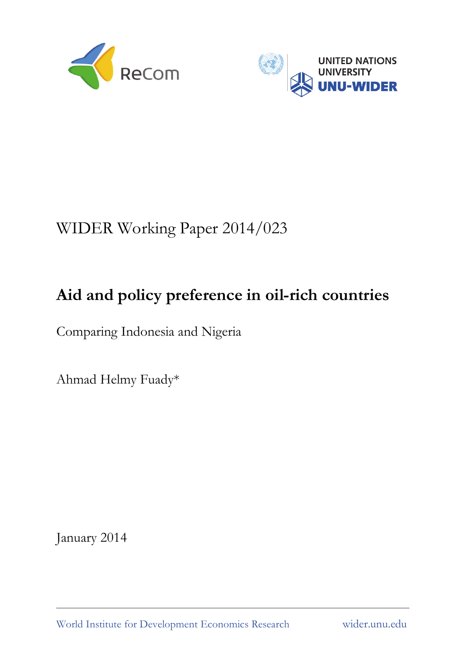



# WIDER Working Paper 2014/023

## **Aid and policy preference in oil-rich countries**

Comparing Indonesia and Nigeria

Ahmad Helmy Fuady\*

January 2014

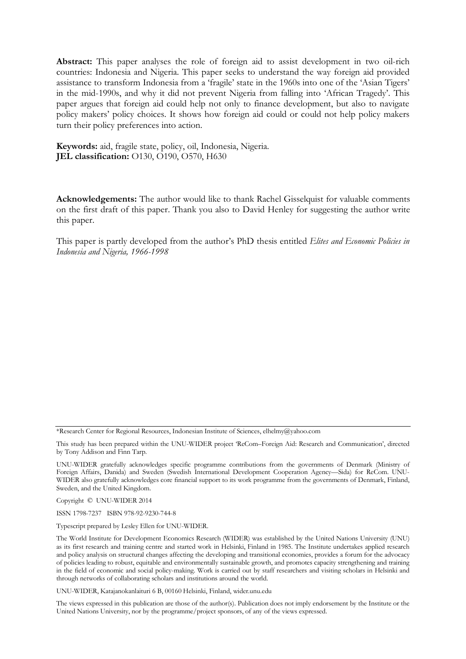**Abstract:** This paper analyses the role of foreign aid to assist development in two oil-rich countries: Indonesia and Nigeria. This paper seeks to understand the way foreign aid provided assistance to transform Indonesia from a 'fragile' state in the 1960s into one of the 'Asian Tigers' in the mid-1990s, and why it did not prevent Nigeria from falling into 'African Tragedy'. This paper argues that foreign aid could help not only to finance development, but also to navigate policy makers' policy choices. It shows how foreign aid could or could not help policy makers turn their policy preferences into action.

**Keywords:** aid, fragile state, policy, oil, Indonesia, Nigeria. **JEL classification:** O130, O190, O570, H630

**Acknowledgements:** The author would like to thank Rachel Gisselquist for valuable comments on the first draft of this paper. Thank you also to David Henley for suggesting the author write this paper.

This paper is partly developed from the author's PhD thesis entitled *Elites and Economic Policies in Indonesia and Nigeria, 1966-1998* 

\*Research Center for Regional Resources, Indonesian Institute of Sciences, elhelmy@yahoo.com

This study has been prepared within the UNU-WIDER project 'ReCom–Foreign Aid: Research and Communication', directed by Tony Addison and Finn Tarp.

UNU-WIDER gratefully acknowledges specific programme contributions from the governments of Denmark (Ministry of Foreign Affairs, Danida) and Sweden (Swedish International Development Cooperation Agency—Sida) for ReCom. UNU-WIDER also gratefully acknowledges core financial support to its work programme from the governments of Denmark, Finland, Sweden, and the United Kingdom.

Copyright © UNU-WIDER 2014

ISSN 1798-7237 ISBN 978-92-9230-744-8

Typescript prepared by Lesley Ellen for UNU-WIDER.

The World Institute for Development Economics Research (WIDER) was established by the United Nations University (UNU) as its first research and training centre and started work in Helsinki, Finland in 1985. The Institute undertakes applied research and policy analysis on structural changes affecting the developing and transitional economies, provides a forum for the advocacy of policies leading to robust, equitable and environmentally sustainable growth, and promotes capacity strengthening and training in the field of economic and social policy-making. Work is carried out by staff researchers and visiting scholars in Helsinki and through networks of collaborating scholars and institutions around the world.

UNU-WIDER, Katajanokanlaituri 6 B, 00160 Helsinki, Finland, wider.unu.edu

The views expressed in this publication are those of the author(s). Publication does not imply endorsement by the Institute or the United Nations University, nor by the programme/project sponsors, of any of the views expressed.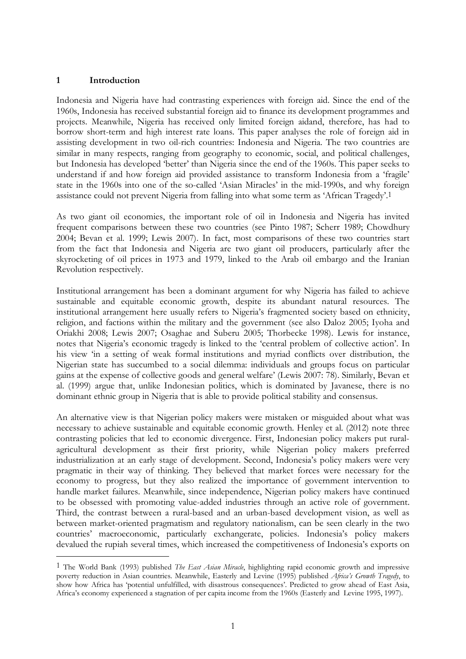#### **1 Introduction**

-

Indonesia and Nigeria have had contrasting experiences with foreign aid. Since the end of the 1960s, Indonesia has received substantial foreign aid to finance its development programmes and projects. Meanwhile, Nigeria has received only limited foreign aidand, therefore, has had to borrow short-term and high interest rate loans. This paper analyses the role of foreign aid in assisting development in two oil-rich countries: Indonesia and Nigeria. The two countries are similar in many respects, ranging from geography to economic, social, and political challenges, but Indonesia has developed 'better' than Nigeria since the end of the 1960s. This paper seeks to understand if and how foreign aid provided assistance to transform Indonesia from a 'fragile' state in the 1960s into one of the so-called 'Asian Miracles' in the mid-1990s, and why foreign assistance could not prevent Nigeria from falling into what some term as 'African Tragedy'.1

As two giant oil economies, the important role of oil in Indonesia and Nigeria has invited frequent comparisons between these two countries (see Pinto 1987; Scherr 1989; Chowdhury 2004; Bevan et al. 1999; Lewis 2007). In fact, most comparisons of these two countries start from the fact that Indonesia and Nigeria are two giant oil producers, particularly after the skyrocketing of oil prices in 1973 and 1979, linked to the Arab oil embargo and the Iranian Revolution respectively.

Institutional arrangement has been a dominant argument for why Nigeria has failed to achieve sustainable and equitable economic growth, despite its abundant natural resources. The institutional arrangement here usually refers to Nigeria's fragmented society based on ethnicity, religion, and factions within the military and the government (see also Daloz 2005; Iyoha and Oriakhi 2008; Lewis 2007; Osaghae and Suberu 2005; Thorbecke 1998). Lewis for instance, notes that Nigeria's economic tragedy is linked to the 'central problem of collective action'. In his view 'in a setting of weak formal institutions and myriad conflicts over distribution, the Nigerian state has succumbed to a social dilemma: individuals and groups focus on particular gains at the expense of collective goods and general welfare' (Lewis 2007: 78). Similarly, Bevan et al. (1999) argue that, unlike Indonesian politics, which is dominated by Javanese, there is no dominant ethnic group in Nigeria that is able to provide political stability and consensus.

An alternative view is that Nigerian policy makers were mistaken or misguided about what was necessary to achieve sustainable and equitable economic growth. Henley et al. (2012) note three contrasting policies that led to economic divergence. First, Indonesian policy makers put ruralagricultural development as their first priority, while Nigerian policy makers preferred industrialization at an early stage of development. Second, Indonesia's policy makers were very pragmatic in their way of thinking. They believed that market forces were necessary for the economy to progress, but they also realized the importance of government intervention to handle market failures. Meanwhile, since independence, Nigerian policy makers have continued to be obsessed with promoting value-added industries through an active role of government. Third, the contrast between a rural-based and an urban-based development vision, as well as between market-oriented pragmatism and regulatory nationalism, can be seen clearly in the two countries' macroeconomic, particularly exchangerate, policies. Indonesia's policy makers devalued the rupiah several times, which increased the competitiveness of Indonesia's exports on

<sup>1</sup> The World Bank (1993) published *The East Asian Miracle*, highlighting rapid economic growth and impressive poverty reduction in Asian countries. Meanwhile, Easterly and Levine (1995) published *Africa's Growth Tragedy*, to show how Africa has 'potential unfulfilled, with disastrous consequences'. Predicted to grow ahead of East Asia, Africa's economy experienced a stagnation of per capita income from the 1960s (Easterly and Levine 1995, 1997).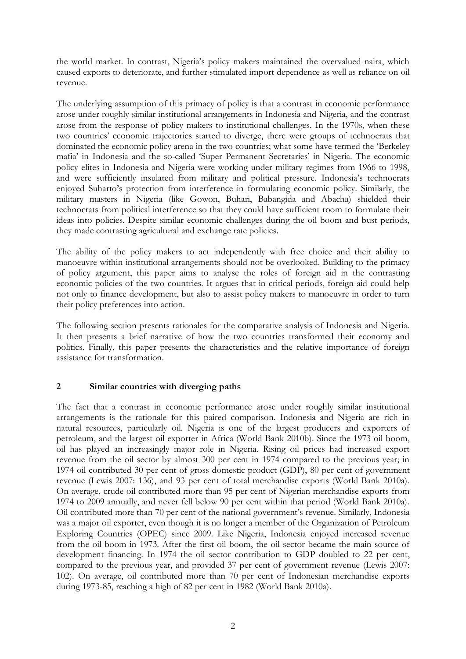the world market. In contrast, Nigeria's policy makers maintained the overvalued naira, which caused exports to deteriorate, and further stimulated import dependence as well as reliance on oil revenue.

The underlying assumption of this primacy of policy is that a contrast in economic performance arose under roughly similar institutional arrangements in Indonesia and Nigeria, and the contrast arose from the response of policy makers to institutional challenges. In the 1970s, when these two countries' economic trajectories started to diverge, there were groups of technocrats that dominated the economic policy arena in the two countries; what some have termed the 'Berkeley mafia' in Indonesia and the so-called 'Super Permanent Secretaries' in Nigeria. The economic policy elites in Indonesia and Nigeria were working under military regimes from 1966 to 1998, and were sufficiently insulated from military and political pressure. Indonesia's technocrats enjoyed Suharto's protection from interference in formulating economic policy. Similarly, the military masters in Nigeria (like Gowon, Buhari, Babangida and Abacha) shielded their technocrats from political interference so that they could have sufficient room to formulate their ideas into policies. Despite similar economic challenges during the oil boom and bust periods, they made contrasting agricultural and exchange rate policies.

The ability of the policy makers to act independently with free choice and their ability to manoeuvre within institutional arrangements should not be overlooked. Building to the primacy of policy argument, this paper aims to analyse the roles of foreign aid in the contrasting economic policies of the two countries. It argues that in critical periods, foreign aid could help not only to finance development, but also to assist policy makers to manoeuvre in order to turn their policy preferences into action.

The following section presents rationales for the comparative analysis of Indonesia and Nigeria. It then presents a brief narrative of how the two countries transformed their economy and politics. Finally, this paper presents the characteristics and the relative importance of foreign assistance for transformation.

#### **2 Similar countries with diverging paths**

The fact that a contrast in economic performance arose under roughly similar institutional arrangements is the rationale for this paired comparison. Indonesia and Nigeria are rich in natural resources, particularly oil. Nigeria is one of the largest producers and exporters of petroleum, and the largest oil exporter in Africa (World Bank 2010b). Since the 1973 oil boom, oil has played an increasingly major role in Nigeria. Rising oil prices had increased export revenue from the oil sector by almost 300 per cent in 1974 compared to the previous year; in 1974 oil contributed 30 per cent of gross domestic product (GDP), 80 per cent of government revenue (Lewis 2007: 136), and 93 per cent of total merchandise exports (World Bank 2010a). On average, crude oil contributed more than 95 per cent of Nigerian merchandise exports from 1974 to 2009 annually, and never fell below 90 per cent within that period (World Bank 2010a). Oil contributed more than 70 per cent of the national government's revenue. Similarly, Indonesia was a major oil exporter, even though it is no longer a member of the Organization of Petroleum Exploring Countries (OPEC) since 2009. Like Nigeria, Indonesia enjoyed increased revenue from the oil boom in 1973. After the first oil boom, the oil sector became the main source of development financing. In 1974 the oil sector contribution to GDP doubled to 22 per cent, compared to the previous year, and provided 37 per cent of government revenue (Lewis 2007: 102). On average, oil contributed more than 70 per cent of Indonesian merchandise exports during 1973-85, reaching a high of 82 per cent in 1982 (World Bank 2010a).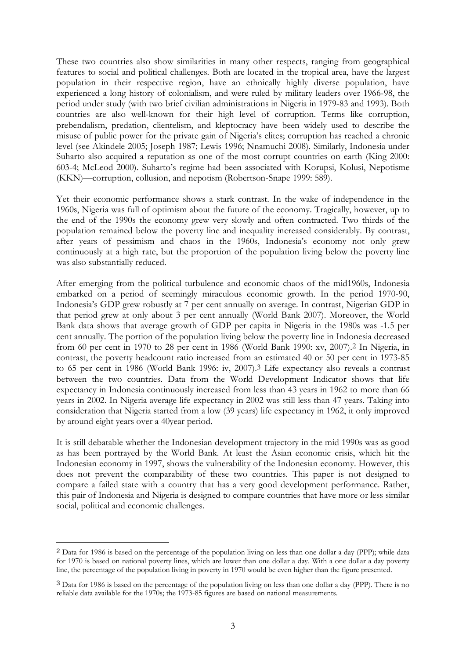These two countries also show similarities in many other respects, ranging from geographical features to social and political challenges. Both are located in the tropical area, have the largest population in their respective region, have an ethnically highly diverse population, have experienced a long history of colonialism, and were ruled by military leaders over 1966-98, the period under study (with two brief civilian administrations in Nigeria in 1979-83 and 1993). Both countries are also well-known for their high level of corruption. Terms like corruption, prebendalism, predation, clientelism, and kleptocracy have been widely used to describe the misuse of public power for the private gain of Nigeria's elites; corruption has reached a chronic level (see Akindele 2005; Joseph 1987; Lewis 1996; Nnamuchi 2008). Similarly, Indonesia under Suharto also acquired a reputation as one of the most corrupt countries on earth (King 2000: 603-4; McLeod 2000). Suharto's regime had been associated with Korupsi, Kolusi, Nepotisme (KKN)—corruption, collusion, and nepotism (Robertson-Snape 1999: 589).

Yet their economic performance shows a stark contrast. In the wake of independence in the 1960s, Nigeria was full of optimism about the future of the economy. Tragically, however, up to the end of the 1990s the economy grew very slowly and often contracted. Two thirds of the population remained below the poverty line and inequality increased considerably. By contrast, after years of pessimism and chaos in the 1960s, Indonesia's economy not only grew continuously at a high rate, but the proportion of the population living below the poverty line was also substantially reduced.

After emerging from the political turbulence and economic chaos of the mid1960s, Indonesia embarked on a period of seemingly miraculous economic growth. In the period 1970-90, Indonesia's GDP grew robustly at 7 per cent annually on average. In contrast, Nigerian GDP in that period grew at only about 3 per cent annually (World Bank 2007). Moreover, the World Bank data shows that average growth of GDP per capita in Nigeria in the 1980s was -1.5 per cent annually. The portion of the population living below the poverty line in Indonesia decreased from 60 per cent in 1970 to 28 per cent in 1986 (World Bank 1990: xv, 2007).2 In Nigeria, in contrast, the poverty headcount ratio increased from an estimated 40 or 50 per cent in 1973-85 to 65 per cent in 1986 (World Bank 1996: iv, 2007).3 Life expectancy also reveals a contrast between the two countries. Data from the World Development Indicator shows that life expectancy in Indonesia continuously increased from less than 43 years in 1962 to more than 66 years in 2002. In Nigeria average life expectancy in 2002 was still less than 47 years. Taking into consideration that Nigeria started from a low (39 years) life expectancy in 1962, it only improved by around eight years over a 40year period.

It is still debatable whether the Indonesian development trajectory in the mid 1990s was as good as has been portrayed by the World Bank. At least the Asian economic crisis, which hit the Indonesian economy in 1997, shows the vulnerability of the Indonesian economy. However, this does not prevent the comparability of these two countries. This paper is not designed to compare a failed state with a country that has a very good development performance. Rather, this pair of Indonesia and Nigeria is designed to compare countries that have more or less similar social, political and economic challenges.

-

<sup>2</sup> Data for 1986 is based on the percentage of the population living on less than one dollar a day (PPP); while data for 1970 is based on national poverty lines, which are lower than one dollar a day. With a one dollar a day poverty line, the percentage of the population living in poverty in 1970 would be even higher than the figure presented.

<sup>3</sup> Data for 1986 is based on the percentage of the population living on less than one dollar a day (PPP). There is no reliable data available for the 1970s; the 1973-85 figures are based on national measurements.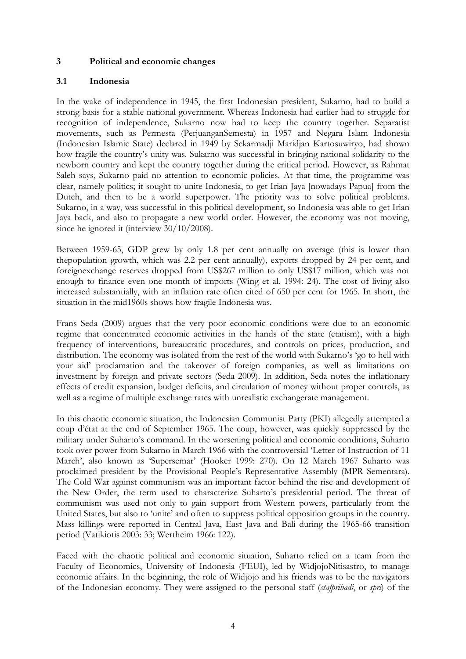### **3 Political and economic changes**

#### **3.1 Indonesia**

In the wake of independence in 1945, the first Indonesian president, Sukarno, had to build a strong basis for a stable national government. Whereas Indonesia had earlier had to struggle for recognition of independence, Sukarno now had to keep the country together. Separatist movements, such as Permesta (PerjuanganSemesta) in 1957 and Negara Islam Indonesia (Indonesian Islamic State) declared in 1949 by Sekarmadji Maridjan Kartosuwiryo, had shown how fragile the country's unity was. Sukarno was successful in bringing national solidarity to the newborn country and kept the country together during the critical period. However, as Rahmat Saleh says, Sukarno paid no attention to economic policies. At that time, the programme was clear, namely politics; it sought to unite Indonesia, to get Irian Jaya [nowadays Papua] from the Dutch, and then to be a world superpower. The priority was to solve political problems. Sukarno, in a way, was successful in this political development, so Indonesia was able to get Irian Jaya back, and also to propagate a new world order. However, the economy was not moving, since he ignored it (interview  $30/10/2008$ ).

Between 1959-65, GDP grew by only 1.8 per cent annually on average (this is lower than thepopulation growth, which was 2.2 per cent annually), exports dropped by 24 per cent, and foreignexchange reserves dropped from US\$267 million to only US\$17 million, which was not enough to finance even one month of imports (Wing et al. 1994: 24). The cost of living also increased substantially, with an inflation rate often cited of 650 per cent for 1965. In short, the situation in the mid1960s shows how fragile Indonesia was.

Frans Seda (2009) argues that the very poor economic conditions were due to an economic regime that concentrated economic activities in the hands of the state (etatism), with a high frequency of interventions, bureaucratic procedures, and controls on prices, production, and distribution. The economy was isolated from the rest of the world with Sukarno's 'go to hell with your aid' proclamation and the takeover of foreign companies, as well as limitations on investment by foreign and private sectors (Seda 2009). In addition, Seda notes the inflationary effects of credit expansion, budget deficits, and circulation of money without proper controls, as well as a regime of multiple exchange rates with unrealistic exchangerate management.

In this chaotic economic situation, the Indonesian Communist Party (PKI) allegedly attempted a coup d'état at the end of September 1965. The coup, however, was quickly suppressed by the military under Suharto's command. In the worsening political and economic conditions, Suharto took over power from Sukarno in March 1966 with the controversial 'Letter of Instruction of 11 March', also known as 'Supersemar' (Hooker 1999: 270). On 12 March 1967 Suharto was proclaimed president by the Provisional People's Representative Assembly (MPR Sementara). The Cold War against communism was an important factor behind the rise and development of the New Order, the term used to characterize Suharto's presidential period. The threat of communism was used not only to gain support from Western powers, particularly from the United States, but also to 'unite' and often to suppress political opposition groups in the country. Mass killings were reported in Central Java, East Java and Bali during the 1965-66 transition period (Vatikiotis 2003: 33; Wertheim 1966: 122).

Faced with the chaotic political and economic situation, Suharto relied on a team from the Faculty of Economics, University of Indonesia (FEUI), led by WidjojoNitisastro, to manage economic affairs. In the beginning, the role of Widjojo and his friends was to be the navigators of the Indonesian economy. They were assigned to the personal staff (*stafpribadi*, or *spri*) of the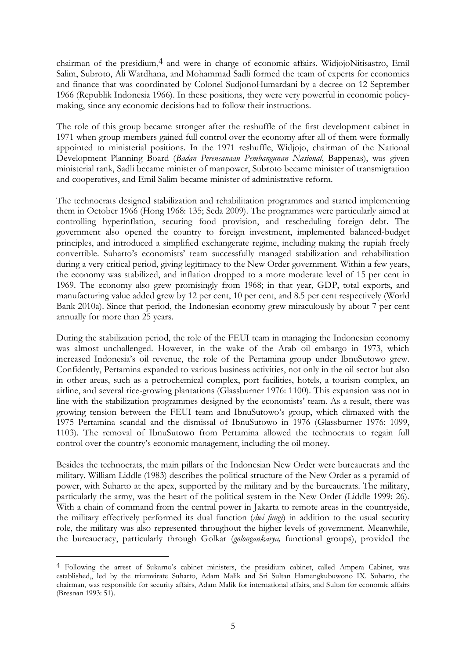chairman of the presidium,4 and were in charge of economic affairs. WidjojoNitisastro, Emil Salim, Subroto, Ali Wardhana, and Mohammad Sadli formed the team of experts for economics and finance that was coordinated by Colonel SudjonoHumardani by a decree on 12 September 1966 (Republik Indonesia 1966). In these positions, they were very powerful in economic policymaking, since any economic decisions had to follow their instructions.

The role of this group became stronger after the reshuffle of the first development cabinet in 1971 when group members gained full control over the economy after all of them were formally appointed to ministerial positions. In the 1971 reshuffle, Widjojo, chairman of the National Development Planning Board (*Badan Perencanaan Pembangunan Nasional*, Bappenas), was given ministerial rank, Sadli became minister of manpower, Subroto became minister of transmigration and cooperatives, and Emil Salim became minister of administrative reform.

The technocrats designed stabilization and rehabilitation programmes and started implementing them in October 1966 (Hong 1968: 135; Seda 2009). The programmes were particularly aimed at controlling hyperinflation, securing food provision, and rescheduling foreign debt. The government also opened the country to foreign investment, implemented balanced-budget principles, and introduced a simplified exchangerate regime, including making the rupiah freely convertible. Suharto's economists' team successfully managed stabilization and rehabilitation during a very critical period, giving legitimacy to the New Order government. Within a few years, the economy was stabilized, and inflation dropped to a more moderate level of 15 per cent in 1969. The economy also grew promisingly from 1968; in that year, GDP, total exports, and manufacturing value added grew by 12 per cent, 10 per cent, and 8.5 per cent respectively (World Bank 2010a). Since that period, the Indonesian economy grew miraculously by about 7 per cent annually for more than 25 years.

During the stabilization period, the role of the FEUI team in managing the Indonesian economy was almost unchallenged. However, in the wake of the Arab oil embargo in 1973, which increased Indonesia's oil revenue, the role of the Pertamina group under IbnuSutowo grew. Confidently, Pertamina expanded to various business activities, not only in the oil sector but also in other areas, such as a petrochemical complex, port facilities, hotels, a tourism complex, an airline, and several rice-growing plantations (Glassburner 1976: 1100). This expansion was not in line with the stabilization programmes designed by the economists' team. As a result, there was growing tension between the FEUI team and IbnuSutowo's group, which climaxed with the 1975 Pertamina scandal and the dismissal of IbnuSutowo in 1976 (Glassburner 1976: 1099, 1103). The removal of IbnuSutowo from Pertamina allowed the technocrats to regain full control over the country's economic management, including the oil money.

Besides the technocrats, the main pillars of the Indonesian New Order were bureaucrats and the military. William Liddle (1983) describes the political structure of the New Order as a pyramid of power, with Suharto at the apex, supported by the military and by the bureaucrats. The military, particularly the army, was the heart of the political system in the New Order (Liddle 1999: 26). With a chain of command from the central power in Jakarta to remote areas in the countryside, the military effectively performed its dual function (*dwi fungi*) in addition to the usual security role, the military was also represented throughout the higher levels of government. Meanwhile, the bureaucracy, particularly through Golkar (*golongankarya,* functional groups), provided the

-

<sup>4</sup> Following the arrest of Sukarno's cabinet ministers, the presidium cabinet, called Ampera Cabinet, was established,, led by the triumvirate Suharto, Adam Malik and Sri Sultan Hamengkubuwono IX. Suharto, the chairman, was responsible for security affairs, Adam Malik for international affairs, and Sultan for economic affairs (Bresnan 1993: 51).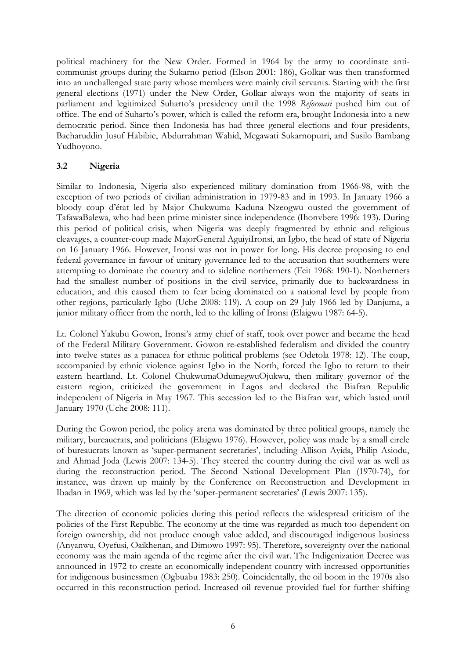political machinery for the New Order. Formed in 1964 by the army to coordinate anticommunist groups during the Sukarno period (Elson 2001: 186), Golkar was then transformed into an unchallenged state party whose members were mainly civil servants. Starting with the first general elections (1971) under the New Order, Golkar always won the majority of seats in parliament and legitimized Suharto's presidency until the 1998 *Reformasi* pushed him out of office. The end of Suharto's power, which is called the reform era, brought Indonesia into a new democratic period. Since then Indonesia has had three general elections and four presidents, Bacharuddin Jusuf Habibie, Abdurrahman Wahid, Megawati Sukarnoputri, and Susilo Bambang Yudhoyono.

### **3.2 Nigeria**

Similar to Indonesia, Nigeria also experienced military domination from 1966-98, with the exception of two periods of civilian administration in 1979-83 and in 1993. In January 1966 a bloody coup d'état led by Major Chukwuma Kaduna Nzeogwu ousted the government of TafawaBalewa, who had been prime minister since independence (Ihonvbere 1996: 193). During this period of political crisis, when Nigeria was deeply fragmented by ethnic and religious cleavages, a counter-coup made MajorGeneral AguiyiIronsi, an Igbo, the head of state of Nigeria on 16 January 1966. However, Ironsi was not in power for long. His decree proposing to end federal governance in favour of unitary governance led to the accusation that southerners were attempting to dominate the country and to sideline northerners (Feit 1968: 190-1). Northerners had the smallest number of positions in the civil service, primarily due to backwardness in education, and this caused them to fear being dominated on a national level by people from other regions, particularly Igbo (Uche 2008: 119). A coup on 29 July 1966 led by Danjuma, a junior military officer from the north, led to the killing of Ironsi (Elaigwu 1987: 64-5).

Lt. Colonel Yakubu Gowon, Ironsi's army chief of staff, took over power and became the head of the Federal Military Government. Gowon re-established federalism and divided the country into twelve states as a panacea for ethnic political problems (see Odetola 1978: 12). The coup, accompanied by ethnic violence against Igbo in the North, forced the Igbo to return to their eastern heartland. Lt. Colonel ChukwumaOdumegwuOjukwu, then military governor of the eastern region, criticized the government in Lagos and declared the Biafran Republic independent of Nigeria in May 1967. This secession led to the Biafran war, which lasted until January 1970 (Uche 2008: 111).

During the Gowon period, the policy arena was dominated by three political groups, namely the military, bureaucrats, and politicians (Elaigwu 1976). However, policy was made by a small circle of bureaucrats known as 'super-permanent secretaries', including Allison Ayida, Philip Asiodu, and Ahmad Joda (Lewis 2007: 134-5). They steered the country during the civil war as well as during the reconstruction period. The Second National Development Plan (1970-74), for instance, was drawn up mainly by the Conference on Reconstruction and Development in Ibadan in 1969, which was led by the 'super-permanent secretaries' (Lewis 2007: 135).

The direction of economic policies during this period reflects the widespread criticism of the policies of the First Republic. The economy at the time was regarded as much too dependent on foreign ownership, did not produce enough value added, and discouraged indigenous business (Anyanwu, Oyefusi, Oaikhenan, and Dimowo 1997: 95). Therefore, sovereignty over the national economy was the main agenda of the regime after the civil war. The Indigenization Decree was announced in 1972 to create an economically independent country with increased opportunities for indigenous businessmen (Ogbuabu 1983: 250). Coincidentally, the oil boom in the 1970s also occurred in this reconstruction period. Increased oil revenue provided fuel for further shifting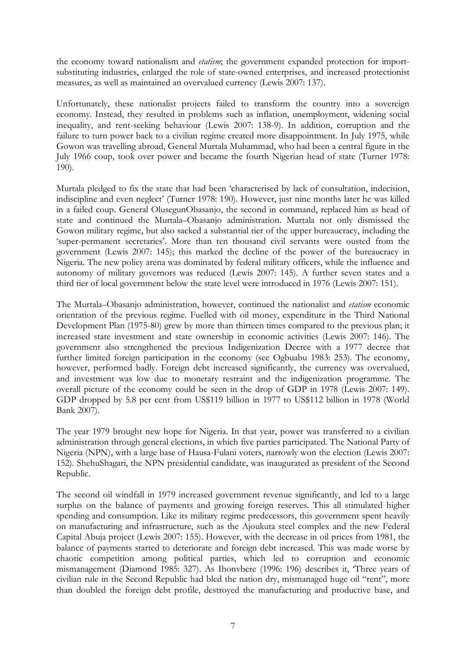the economy toward nationalism and *etatism*; the government expanded protection for importsubstituting industries, enlarged the role of state-owned enterprises, and increased protectionist measures, as well as maintained an overvalued currency (Lewis 2007: 137).

Unfortunately, these nationalist projects failed to transform the country into a sovereign economy. Instead, they resulted in problems such as inflation, unemployment, widening social inequality, and rent-seeking behaviour (Lewis 2007: 138-9). In addition, corruption and the failure to turn power back to a civilian regime created more disappointment. In July 1975, while Gowon was travelling abroad, General Murtala Muhammad, who had been a central figure in the July 1966 coup, took over power and became the fourth Nigerian head of state (Turner 1978: 190).

Murtala pledged to fix the state that had been 'characterised by lack of consultation, indecision, indiscipline and even neglect' (Turner 1978: 190). However, just nine months later he was killed in a failed coup. General OlusegunObasanjo, the second in command, replaced him as head of state and continued the Murtala–Obasanjo administration. Murtala not only dismissed the Gowon military regime, but also sacked a substantial tier of the upper bureaucracy, including the 'super-permanent secretaries'. More than ten thousand civil servants were ousted from the government (Lewis 2007: 145); this marked the decline of the power of the bureaucracy in Nigeria. The new policy arena was dominated by federal military officers, while the influence and autonomy of military governors was reduced (Lewis 2007: 145). A further seven states and a third tier of local government below the state level were introduced in 1976 (Lewis 2007: 151).

The Murtala–Obasanjo administration, however, continued the nationalist and *etatism* economic orientation of the previous regime. Fuelled with oil money, expenditure in the Third National Development Plan (1975-80) grew by more than thirteen times compared to the previous plan; it increased state investment and state ownership in economic activities (Lewis 2007: 146). The government also strengthened the previous Indigenization Decree with a 1977 decree that further limited foreign participation in the economy (see Ogbuabu 1983: 253). The economy, however, performed badly. Foreign debt increased significantly, the currency was overvalued, and investment was low due to monetary restraint and the indigenization programme. The overall picture of the economy could be seen in the drop of GDP in 1978 (Lewis 2007: 149). GDP dropped by 5.8 per cent from US\$119 billion in 1977 to US\$112 billion in 1978 (World Bank 2007).

The year 1979 brought new hope for Nigeria. In that year, power was transferred to a civilian administration through general elections, in which five parties participated. The National Party of Nigeria (NPN), with a large base of Hausa-Fulani voters, narrowly won the election (Lewis 2007: 152). ShehuShagari, the NPN presidential candidate, was inaugurated as president of the Second Republic.

The second oil windfall in 1979 increased government revenue significantly, and led to a large surplus on the balance of payments and growing foreign reserves. This all stimulated higher spending and consumption. Like its military regime predecessors, this government spent heavily on manufacturing and infrastructure, such as the Ajoukuta steel complex and the new Federal Capital Abuja project (Lewis 2007: 155). However, with the decrease in oil prices from 1981, the balance of payments started to deteriorate and foreign debt increased. This was made worse by chaotic competition among political parties, which led to corruption and economic mismanagement (Diamond 1985: 327). As Ihonvbere (1996: 196) describes it, 'Three years of civilian rule in the Second Republic had bled the nation dry, mismanaged huge oil "rent", more than doubled the foreign debt profile, destroyed the manufacturing and productive base, and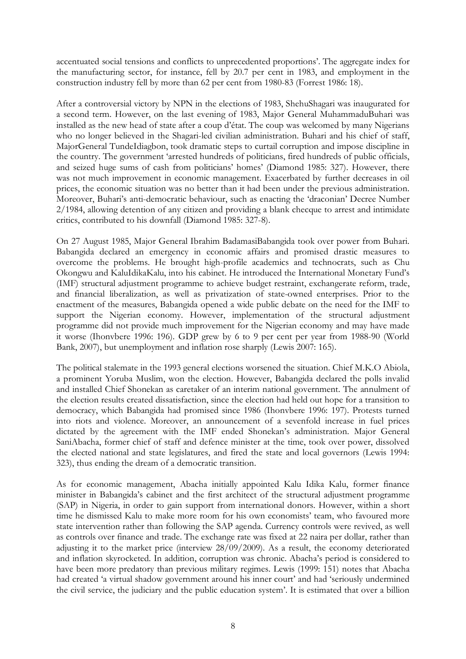accentuated social tensions and conflicts to unprecedented proportions'. The aggregate index for the manufacturing sector, for instance, fell by 20.7 per cent in 1983, and employment in the construction industry fell by more than 62 per cent from 1980-83 (Forrest 1986: 18).

After a controversial victory by NPN in the elections of 1983, ShehuShagari was inaugurated for a second term. However, on the last evening of 1983, Major General MuhammaduBuhari was installed as the new head of state after a coup d'état. The coup was welcomed by many Nigerians who no longer believed in the Shagari-led civilian administration. Buhari and his chief of staff, MajorGeneral TundeIdiagbon, took dramatic steps to curtail corruption and impose discipline in the country. The government 'arrested hundreds of politicians, fired hundreds of public officials, and seized huge sums of cash from politicians' homes' (Diamond 1985: 327). However, there was not much improvement in economic management. Exacerbated by further decreases in oil prices, the economic situation was no better than it had been under the previous administration. Moreover, Buhari's anti-democratic behaviour, such as enacting the 'draconian' Decree Number 2/1984, allowing detention of any citizen and providing a blank checque to arrest and intimidate critics, contributed to his downfall (Diamond 1985: 327-8).

On 27 August 1985, Major General Ibrahim BadamasiBabangida took over power from Buhari. Babangida declared an emergency in economic affairs and promised drastic measures to overcome the problems. He brought high-profile academics and technocrats, such as Chu Okongwu and KaluIdikaKalu, into his cabinet. He introduced the International Monetary Fund's (IMF) structural adjustment programme to achieve budget restraint, exchangerate reform, trade, and financial liberalization, as well as privatization of state-owned enterprises. Prior to the enactment of the measures, Babangida opened a wide public debate on the need for the IMF to support the Nigerian economy. However, implementation of the structural adjustment programme did not provide much improvement for the Nigerian economy and may have made it worse (Ihonvbere 1996: 196). GDP grew by 6 to 9 per cent per year from 1988-90 (World Bank, 2007), but unemployment and inflation rose sharply (Lewis 2007: 165).

The political stalemate in the 1993 general elections worsened the situation. Chief M.K.O Abiola, a prominent Yoruba Muslim, won the election. However, Babangida declared the polls invalid and installed Chief Shonekan as caretaker of an interim national government. The annulment of the election results created dissatisfaction, since the election had held out hope for a transition to democracy, which Babangida had promised since 1986 (Ihonvbere 1996: 197). Protests turned into riots and violence. Moreover, an announcement of a sevenfold increase in fuel prices dictated by the agreement with the IMF ended Shonekan's administration. Major General SaniAbacha, former chief of staff and defence minister at the time, took over power, dissolved the elected national and state legislatures, and fired the state and local governors (Lewis 1994: 323), thus ending the dream of a democratic transition.

As for economic management, Abacha initially appointed Kalu Idika Kalu, former finance minister in Babangida's cabinet and the first architect of the structural adjustment programme (SAP) in Nigeria, in order to gain support from international donors. However, within a short time he dismissed Kalu to make more room for his own economists' team, who favoured more state intervention rather than following the SAP agenda. Currency controls were revived, as well as controls over finance and trade. The exchange rate was fixed at 22 naira per dollar, rather than adjusting it to the market price (interview 28/09/2009). As a result, the economy deteriorated and inflation skyrocketed. In addition, corruption was chronic. Abacha's period is considered to have been more predatory than previous military regimes. Lewis (1999: 151) notes that Abacha had created 'a virtual shadow government around his inner court' and had 'seriously undermined the civil service, the judiciary and the public education system'. It is estimated that over a billion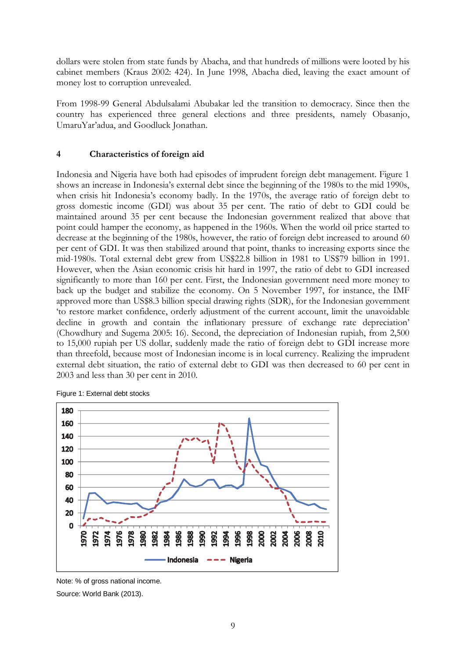dollars were stolen from state funds by Abacha, and that hundreds of millions were looted by his cabinet members (Kraus 2002: 424). In June 1998, Abacha died, leaving the exact amount of money lost to corruption unrevealed.

From 1998-99 General Abdulsalami Abubakar led the transition to democracy. Since then the country has experienced three general elections and three presidents, namely Obasanjo, UmaruYar'adua, and Goodluck Jonathan.

### **4 Characteristics of foreign aid**

Indonesia and Nigeria have both had episodes of imprudent foreign debt management. Figure 1 shows an increase in Indonesia's external debt since the beginning of the 1980s to the mid 1990s, when crisis hit Indonesia's economy badly. In the 1970s, the average ratio of foreign debt to gross domestic income (GDI) was about 35 per cent. The ratio of debt to GDI could be maintained around 35 per cent because the Indonesian government realized that above that point could hamper the economy, as happened in the 1960s. When the world oil price started to decrease at the beginning of the 1980s, however, the ratio of foreign debt increased to around 60 per cent of GDI. It was then stabilized around that point, thanks to increasing exports since the mid-1980s. Total external debt grew from US\$22.8 billion in 1981 to US\$79 billion in 1991. However, when the Asian economic crisis hit hard in 1997, the ratio of debt to GDI increased significantly to more than 160 per cent. First, the Indonesian government need more money to back up the budget and stabilize the economy. On 5 November 1997, for instance, the IMF approved more than US\$8.3 billion special drawing rights (SDR), for the Indonesian government 'to restore market confidence, orderly adjustment of the current account, limit the unavoidable decline in growth and contain the inflationary pressure of exchange rate depreciation' (Chowdhury and Sugema 2005: 16). Second, the depreciation of Indonesian rupiah, from 2,500 to 15,000 rupiah per US dollar, suddenly made the ratio of foreign debt to GDI increase more than threefold, because most of Indonesian income is in local currency. Realizing the imprudent external debt situation, the ratio of external debt to GDI was then decreased to 60 per cent in 2003 and less than 30 per cent in 2010.



Figure 1: External debt stocks

Source: World Bank (2013).

Note: % of gross national income.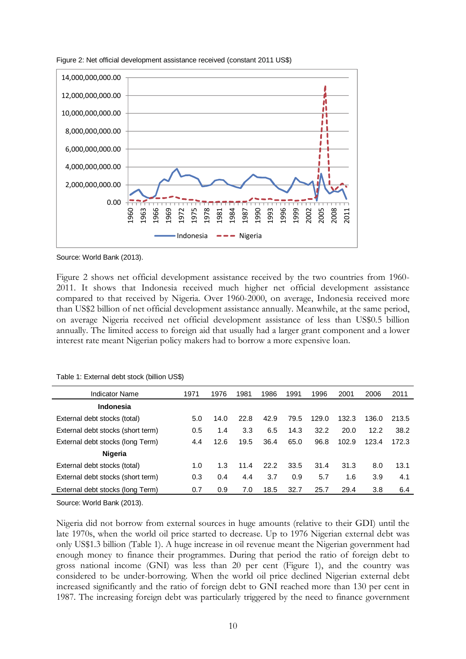

Figure 2: Net official development assistance received (constant 2011 US\$)

Source: World Bank (2013).

Figure 2 shows net official development assistance received by the two countries from 1960- 2011. It shows that Indonesia received much higher net official development assistance compared to that received by Nigeria. Over 1960-2000, on average, Indonesia received more than US\$2 billion of net official development assistance annually. Meanwhile, at the same period, on average Nigeria received net official development assistance of less than US\$0.5 billion annually. The limited access to foreign aid that usually had a larger grant component and a lower interest rate meant Nigerian policy makers had to borrow a more expensive loan.

| Indicator Name                    | 1971 | 1976 | 1981 | 1986 | 1991 | 1996  | 2001  | 2006  | 2011  |
|-----------------------------------|------|------|------|------|------|-------|-------|-------|-------|
| Indonesia                         |      |      |      |      |      |       |       |       |       |
| External debt stocks (total)      | 5.0  | 14.0 | 22.8 | 42.9 | 79.5 | 129.0 | 132.3 | 136.0 | 213.5 |
| External debt stocks (short term) | 0.5  | 1.4  | 3.3  | 6.5  | 14.3 | 32.2  | 20.0  | 12.2  | 38.2  |
| External debt stocks (long Term)  | 4.4  | 12.6 | 19.5 | 36.4 | 65.0 | 96.8  | 102.9 | 123.4 | 172.3 |
| <b>Nigeria</b>                    |      |      |      |      |      |       |       |       |       |
| External debt stocks (total)      | 1.0  | 1.3  | 11.4 | 22.2 | 33.5 | 31.4  | 31.3  | 8.0   | 13.1  |
| External debt stocks (short term) | 0.3  | 0.4  | 4.4  | 3.7  | 0.9  | 5.7   | 1.6   | 3.9   | 4.1   |
| External debt stocks (long Term)  | 0.7  | 0.9  | 7.0  | 18.5 | 32.7 | 25.7  | 29.4  | 3.8   | 6.4   |

Table 1: External debt stock (billion US\$)

Source: World Bank (2013).

Nigeria did not borrow from external sources in huge amounts (relative to their GDI) until the late 1970s, when the world oil price started to decrease. Up to 1976 Nigerian external debt was only US\$1.3 billion (Table 1). A huge increase in oil revenue meant the Nigerian government had enough money to finance their programmes. During that period the ratio of foreign debt to gross national income (GNI) was less than 20 per cent (Figure 1), and the country was considered to be under-borrowing. When the world oil price declined Nigerian external debt increased significantly and the ratio of foreign debt to GNI reached more than 130 per cent in 1987. The increasing foreign debt was particularly triggered by the need to finance government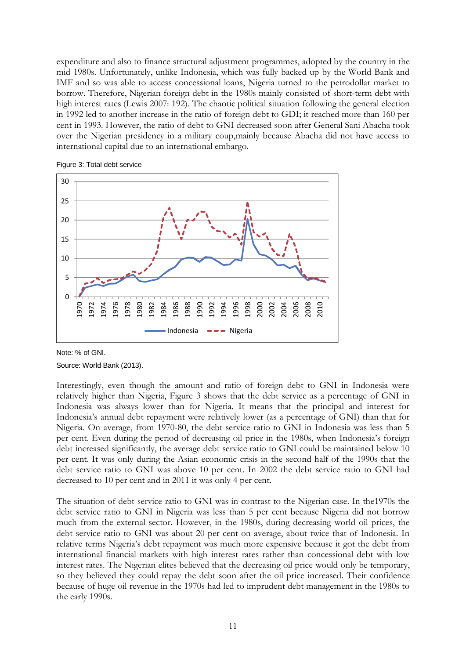expenditure and also to finance structural adjustment programmes, adopted by the country in the mid 1980s. Unfortunately, unlike Indonesia, which was fully backed up by the World Bank and IMF and so was able to access concessional loans, Nigeria turned to the petrodollar market to borrow. Therefore, Nigerian foreign debt in the 1980s mainly consisted of short-term debt with high interest rates (Lewis 2007: 192). The chaotic political situation following the general election in 1992 led to another increase in the ratio of foreign debt to GDI; it reached more than 160 per cent in 1993. However, the ratio of debt to GNI decreased soon after General Sani Abacha took over the Nigerian presidency in a military coup,mainly because Abacha did not have access to international capital due to an international embargo.





Note: % of GNI.

Source: World Bank (2013).

Interestingly, even though the amount and ratio of foreign debt to GNI in Indonesia were relatively higher than Nigeria, Figure 3 shows that the debt service as a percentage of GNI in Indonesia was always lower than for Nigeria. It means that the principal and interest for Indonesia's annual debt repayment were relatively lower (as a percentage of GNI) than that for Nigeria. On average, from 1970-80, the debt service ratio to GNI in Indonesia was less than 5 per cent. Even during the period of decreasing oil price in the 1980s, when Indonesia's foreign debt increased significantly, the average debt service ratio to GNI could be maintained below 10 per cent. It was only during the Asian economic crisis in the second half of the 1990s that the debt service ratio to GNI was above 10 per cent. In 2002 the debt service ratio to GNI had decreased to 10 per cent and in 2011 it was only 4 per cent.

The situation of debt service ratio to GNI was in contrast to the Nigerian case. In the1970s the debt service ratio to GNI in Nigeria was less than 5 per cent because Nigeria did not borrow much from the external sector. However, in the 1980s, during decreasing world oil prices, the debt service ratio to GNI was about 20 per cent on average, about twice that of Indonesia. In relative terms Nigeria's debt repayment was much more expensive because it got the debt from international financial markets with high interest rates rather than concessional debt with low interest rates. The Nigerian elites believed that the decreasing oil price would only be temporary, so they believed they could repay the debt soon after the oil price increased. Their confidence because of huge oil revenue in the 1970s had led to imprudent debt management in the 1980s to the early 1990s.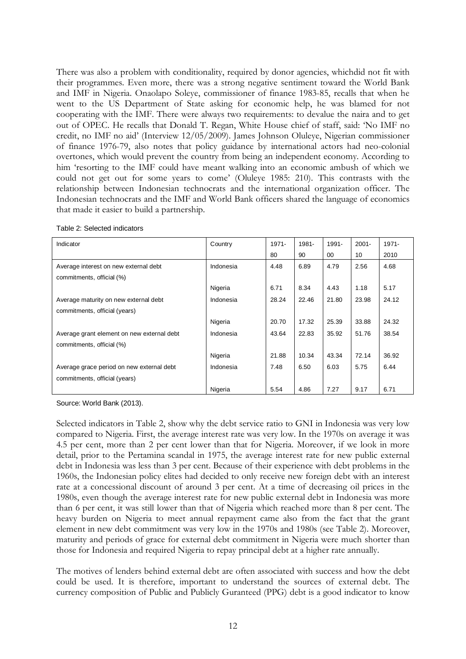There was also a problem with conditionality, required by donor agencies, whichdid not fit with their programmes. Even more, there was a strong negative sentiment toward the World Bank and IMF in Nigeria. Onaolapo Soleye, commissioner of finance 1983-85, recalls that when he went to the US Department of State asking for economic help, he was blamed for not cooperating with the IMF. There were always two requirements: to devalue the naira and to get out of OPEC. He recalls that Donald T. Regan, White House chief of staff, said: 'No IMF no credit, no IMF no aid' (Interview 12/05/2009). James Johnson Oluleye, Nigerian commissioner of finance 1976-79, also notes that policy guidance by international actors had neo-colonial overtones, which would prevent the country from being an independent economy. According to him 'resorting to the IMF could have meant walking into an economic ambush of which we could not get out for some years to come' (Oluleye 1985: 210). This contrasts with the relationship between Indonesian technocrats and the international organization officer. The Indonesian technocrats and the IMF and World Bank officers shared the language of economics that made it easier to build a partnership.

| Indicator                                  | Country   | 1971- | 1981- | 1991- | $2001 -$ | $1971 -$ |
|--------------------------------------------|-----------|-------|-------|-------|----------|----------|
|                                            |           | 80    | 90    | 00    | 10       | 2010     |
| Average interest on new external debt      | Indonesia | 4.48  | 6.89  | 4.79  | 2.56     | 4.68     |
| commitments, official (%)                  |           |       |       |       |          |          |
|                                            | Nigeria   | 6.71  | 8.34  | 4.43  | 1.18     | 5.17     |
| Average maturity on new external debt      | Indonesia | 28.24 | 22.46 | 21.80 | 23.98    | 24.12    |
| commitments, official (years)              |           |       |       |       |          |          |
|                                            | Nigeria   | 20.70 | 17.32 | 25.39 | 33.88    | 24.32    |
| Average grant element on new external debt | Indonesia | 43.64 | 22.83 | 35.92 | 51.76    | 38.54    |
| commitments, official (%)                  |           |       |       |       |          |          |
|                                            | Nigeria   | 21.88 | 10.34 | 43.34 | 72.14    | 36.92    |
| Average grace period on new external debt  | Indonesia | 7.48  | 6.50  | 6.03  | 5.75     | 6.44     |
| commitments, official (years)              |           |       |       |       |          |          |
|                                            | Nigeria   | 5.54  | 4.86  | 7.27  | 9.17     | 6.71     |

Table 2: Selected indicators

Source: World Bank (2013).

Selected indicators in Table 2, show why the debt service ratio to GNI in Indonesia was very low compared to Nigeria. First, the average interest rate was very low. In the 1970s on average it was 4.5 per cent, more than 2 per cent lower than that for Nigeria. Moreover, if we look in more detail, prior to the Pertamina scandal in 1975, the average interest rate for new public external debt in Indonesia was less than 3 per cent. Because of their experience with debt problems in the 1960s, the Indonesian policy elites had decided to only receive new foreign debt with an interest rate at a concessional discount of around 3 per cent. At a time of decreasing oil prices in the 1980s, even though the average interest rate for new public external debt in Indonesia was more than 6 per cent, it was still lower than that of Nigeria which reached more than 8 per cent. The heavy burden on Nigeria to meet annual repayment came also from the fact that the grant element in new debt commitment was very low in the 1970s and 1980s (see Table 2). Moreover, maturity and periods of grace for external debt commitment in Nigeria were much shorter than those for Indonesia and required Nigeria to repay principal debt at a higher rate annually.

The motives of lenders behind external debt are often associated with success and how the debt could be used. It is therefore, important to understand the sources of external debt. The currency composition of Public and Publicly Guranteed (PPG) debt is a good indicator to know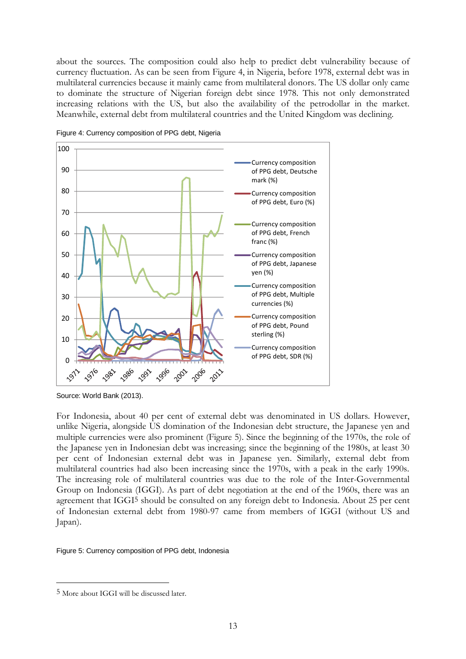about the sources. The composition could also help to predict debt vulnerability because of currency fluctuation. As can be seen from Figure 4, in Nigeria, before 1978, external debt was in multilateral currencies because it mainly came from multilateral donors. The US dollar only came to dominate the structure of Nigerian foreign debt since 1978. This not only demonstrated increasing relations with the US, but also the availability of the petrodollar in the market. Meanwhile, external debt from multilateral countries and the United Kingdom was declining.



Figure 4: Currency composition of PPG debt, Nigeria

Source: World Bank (2013).

For Indonesia, about 40 per cent of external debt was denominated in US dollars. However, unlike Nigeria, alongside US domination of the Indonesian debt structure, the Japanese yen and multiple currencies were also prominent (Figure 5). Since the beginning of the 1970s, the role of the Japanese yen in Indonesian debt was increasing; since the beginning of the 1980s, at least 30 per cent of Indonesian external debt was in Japanese yen. Similarly, external debt from multilateral countries had also been increasing since the 1970s, with a peak in the early 1990s. The increasing role of multilateral countries was due to the role of the Inter-Governmental Group on Indonesia (IGGI). As part of debt negotiation at the end of the 1960s, there was an agreement that IGGI5 should be consulted on any foreign debt to Indonesia. About 25 per cent of Indonesian external debt from 1980-97 came from members of IGGI (without US and Japan).

Figure 5: Currency composition of PPG debt, Indonesia

<u>.</u>

<sup>5</sup> More about IGGI will be discussed later.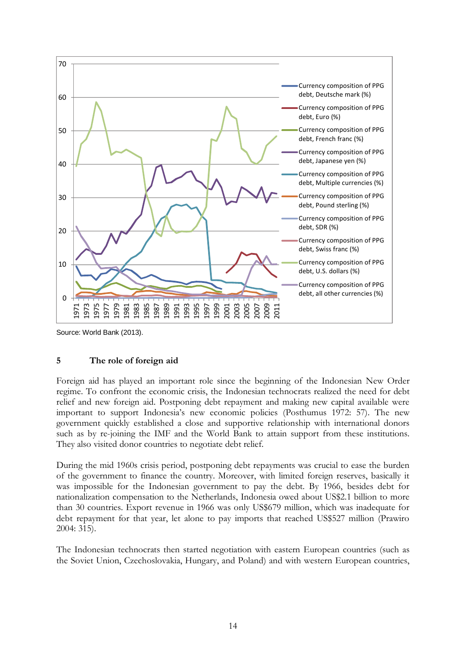

Source: World Bank (2013).

#### **5 The role of foreign aid**

Foreign aid has played an important role since the beginning of the Indonesian New Order regime. To confront the economic crisis, the Indonesian technocrats realized the need for debt relief and new foreign aid. Postponing debt repayment and making new capital available were important to support Indonesia's new economic policies (Posthumus 1972: 57). The new government quickly established a close and supportive relationship with international donors such as by re-joining the IMF and the World Bank to attain support from these institutions. They also visited donor countries to negotiate debt relief.

During the mid 1960s crisis period, postponing debt repayments was crucial to ease the burden of the government to finance the country. Moreover, with limited foreign reserves, basically it was impossible for the Indonesian government to pay the debt. By 1966, besides debt for nationalization compensation to the Netherlands, Indonesia owed about US\$2.1 billion to more than 30 countries. Export revenue in 1966 was only US\$679 million, which was inadequate for debt repayment for that year, let alone to pay imports that reached US\$527 million (Prawiro 2004: 315).

The Indonesian technocrats then started negotiation with eastern European countries (such as the Soviet Union, Czechoslovakia, Hungary, and Poland) and with western European countries,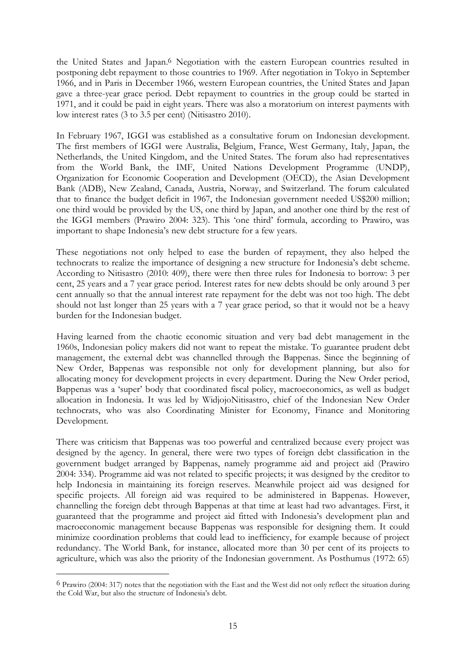the United States and Japan.6 Negotiation with the eastern European countries resulted in postponing debt repayment to those countries to 1969. After negotiation in Tokyo in September 1966, and in Paris in December 1966, western European countries, the United States and Japan gave a three-year grace period. Debt repayment to countries in the group could be started in 1971, and it could be paid in eight years. There was also a moratorium on interest payments with low interest rates (3 to 3.5 per cent) (Nitisastro 2010).

In February 1967, IGGI was established as a consultative forum on Indonesian development. The first members of IGGI were Australia, Belgium, France, West Germany, Italy, Japan, the Netherlands, the United Kingdom, and the United States. The forum also had representatives from the World Bank, the IMF, United Nations Development Programme (UNDP), Organization for Economic Cooperation and Development (OECD), the Asian Development Bank (ADB), New Zealand, Canada, Austria, Norway, and Switzerland. The forum calculated that to finance the budget deficit in 1967, the Indonesian government needed US\$200 million; one third would be provided by the US, one third by Japan, and another one third by the rest of the IGGI members (Prawiro 2004: 323). This 'one third' formula, according to Prawiro, was important to shape Indonesia's new debt structure for a few years.

These negotiations not only helped to ease the burden of repayment, they also helped the technocrats to realize the importance of designing a new structure for Indonesia's debt scheme. According to Nitisastro (2010: 409), there were then three rules for Indonesia to borrow: 3 per cent, 25 years and a 7 year grace period. Interest rates for new debts should be only around 3 per cent annually so that the annual interest rate repayment for the debt was not too high. The debt should not last longer than 25 years with a 7 year grace period, so that it would not be a heavy burden for the Indonesian budget.

Having learned from the chaotic economic situation and very bad debt management in the 1960s, Indonesian policy makers did not want to repeat the mistake. To guarantee prudent debt management, the external debt was channelled through the Bappenas. Since the beginning of New Order, Bappenas was responsible not only for development planning, but also for allocating money for development projects in every department. During the New Order period, Bappenas was a 'super' body that coordinated fiscal policy, macroeconomics, as well as budget allocation in Indonesia. It was led by WidjojoNitisastro, chief of the Indonesian New Order technocrats, who was also Coordinating Minister for Economy, Finance and Monitoring Development.

There was criticism that Bappenas was too powerful and centralized because every project was designed by the agency. In general, there were two types of foreign debt classification in the government budget arranged by Bappenas, namely programme aid and project aid (Prawiro 2004: 334). Programme aid was not related to specific projects; it was designed by the creditor to help Indonesia in maintaining its foreign reserves. Meanwhile project aid was designed for specific projects. All foreign aid was required to be administered in Bappenas. However, channelling the foreign debt through Bappenas at that time at least had two advantages. First, it guaranteed that the programme and project aid fitted with Indonesia's development plan and macroeconomic management because Bappenas was responsible for designing them. It could minimize coordination problems that could lead to inefficiency, for example because of project redundancy. The World Bank, for instance, allocated more than 30 per cent of its projects to agriculture, which was also the priority of the Indonesian government. As Posthumus (1972: 65)

-

<sup>6</sup> Prawiro (2004: 317) notes that the negotiation with the East and the West did not only reflect the situation during the Cold War, but also the structure of Indonesia's debt.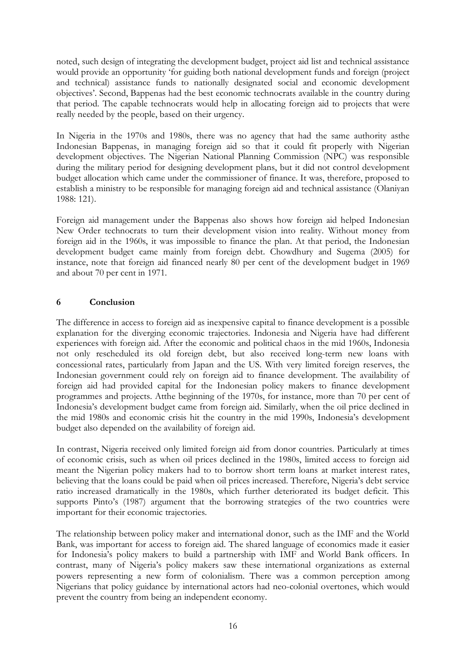noted, such design of integrating the development budget, project aid list and technical assistance would provide an opportunity 'for guiding both national development funds and foreign (project and technical) assistance funds to nationally designated social and economic development objectives'. Second, Bappenas had the best economic technocrats available in the country during that period. The capable technocrats would help in allocating foreign aid to projects that were really needed by the people, based on their urgency.

In Nigeria in the 1970s and 1980s, there was no agency that had the same authority asthe Indonesian Bappenas, in managing foreign aid so that it could fit properly with Nigerian development objectives. The Nigerian National Planning Commission (NPC) was responsible during the military period for designing development plans, but it did not control development budget allocation which came under the commissioner of finance. It was, therefore, proposed to establish a ministry to be responsible for managing foreign aid and technical assistance (Olaniyan 1988: 121).

Foreign aid management under the Bappenas also shows how foreign aid helped Indonesian New Order technocrats to turn their development vision into reality. Without money from foreign aid in the 1960s, it was impossible to finance the plan. At that period, the Indonesian development budget came mainly from foreign debt. Chowdhury and Sugema (2005) for instance, note that foreign aid financed nearly 80 per cent of the development budget in 1969 and about 70 per cent in 1971.

### **6 Conclusion**

The difference in access to foreign aid as inexpensive capital to finance development is a possible explanation for the diverging economic trajectories. Indonesia and Nigeria have had different experiences with foreign aid. After the economic and political chaos in the mid 1960s, Indonesia not only rescheduled its old foreign debt, but also received long-term new loans with concessional rates, particularly from Japan and the US. With very limited foreign reserves, the Indonesian government could rely on foreign aid to finance development. The availability of foreign aid had provided capital for the Indonesian policy makers to finance development programmes and projects. Atthe beginning of the 1970s, for instance, more than 70 per cent of Indonesia's development budget came from foreign aid. Similarly, when the oil price declined in the mid 1980s and economic crisis hit the country in the mid 1990s, Indonesia's development budget also depended on the availability of foreign aid.

In contrast, Nigeria received only limited foreign aid from donor countries. Particularly at times of economic crisis, such as when oil prices declined in the 1980s, limited access to foreign aid meant the Nigerian policy makers had to to borrow short term loans at market interest rates, believing that the loans could be paid when oil prices increased. Therefore, Nigeria's debt service ratio increased dramatically in the 1980s, which further deteriorated its budget deficit. This supports Pinto's (1987) argument that the borrowing strategies of the two countries were important for their economic trajectories.

The relationship between policy maker and international donor, such as the IMF and the World Bank, was important for access to foreign aid. The shared language of economics made it easier for Indonesia's policy makers to build a partnership with IMF and World Bank officers. In contrast, many of Nigeria's policy makers saw these international organizations as external powers representing a new form of colonialism. There was a common perception among Nigerians that policy guidance by international actors had neo-colonial overtones, which would prevent the country from being an independent economy.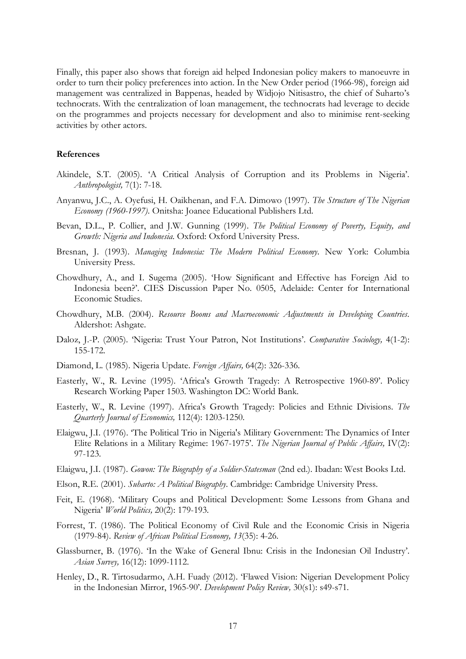Finally, this paper also shows that foreign aid helped Indonesian policy makers to manoeuvre in order to turn their policy preferences into action. In the New Order period (1966-98), foreign aid management was centralized in Bappenas, headed by Widjojo Nitisastro, the chief of Suharto's technocrats. With the centralization of loan management, the technocrats had leverage to decide on the programmes and projects necessary for development and also to minimise rent-seeking activities by other actors.

#### **References**

- Akindele, S.T. (2005). 'A Critical Analysis of Corruption and its Problems in Nigeria'. *Anthropologist,* 7(1): 7-18.
- Anyanwu, J.C., A. Oyefusi, H. Oaikhenan, and F.A. Dimowo (1997). *The Structure of The Nigerian Economy (1960-1997)*. Onitsha: Joanee Educational Publishers Ltd.
- Bevan, D.L., P. Collier, and J.W. Gunning (1999). *The Political Economy of Poverty, Equity, and Growth: Nigeria and Indonesia*. Oxford: Oxford University Press.
- Bresnan, J. (1993). *Managing Indonesia: The Modern Political Economy*. New York: Columbia University Press.
- Chowdhury, A., and I. Sugema (2005). 'How Significant and Effective has Foreign Aid to Indonesia been?'. CIES Discussion Paper No. 0505, Adelaide: Center for International Economic Studies.
- Chowdhury, M.B. (2004). *Resource Booms and Macroeconomic Adjustments in Developing Countries*. Aldershot: Ashgate.
- Daloz, J.-P. (2005). 'Nigeria: Trust Your Patron, Not Institutions'. *Comparative Sociology,* 4(1-2): 155-172.
- Diamond, L. (1985). Nigeria Update. *Foreign Affairs,* 64(2): 326-336.
- Easterly, W., R. Levine (1995). 'Africa's Growth Tragedy: A Retrospective 1960-89'. Policy Research Working Paper 1503. Washington DC: World Bank.
- Easterly, W., R. Levine (1997). Africa's Growth Tragedy: Policies and Ethnic Divisions. *The Quarterly Journal of Economics,* 112(4): 1203-1250.
- Elaigwu, J.I. (1976). 'The Political Trio in Nigeria's Military Government: The Dynamics of Inter Elite Relations in a Military Regime: 1967-1975'. *The Nigerian Journal of Public Affairs,* IV(2): 97-123.
- Elaigwu, J.I. (1987). *Gowon: The Biography of a Soldier-Statesman* (2nd ed.). Ibadan: West Books Ltd.
- Elson, R.E. (2001). *Suharto: A Political Biography*. Cambridge: Cambridge University Press.
- Feit, E. (1968). 'Military Coups and Political Development: Some Lessons from Ghana and Nigeria' *World Politics,* 20(2): 179-193.
- Forrest, T. (1986). The Political Economy of Civil Rule and the Economic Crisis in Nigeria (1979-84). *Review of African Political Economy, 13*(35): 4-26.
- Glassburner, B. (1976). 'In the Wake of General Ibnu: Crisis in the Indonesian Oil Industry'. *Asian Survey,* 16(12): 1099-1112.
- Henley, D., R. Tirtosudarmo, A.H. Fuady (2012). 'Flawed Vision: Nigerian Development Policy in the Indonesian Mirror, 1965-90'. *Development Policy Review,* 30(s1): s49-s71.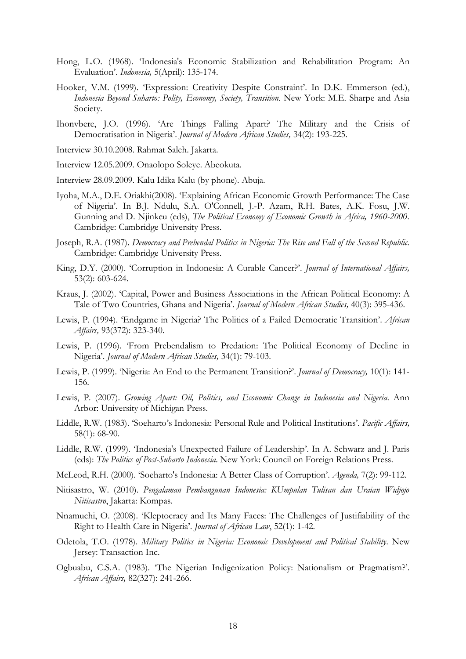- Hong, L.O. (1968). 'Indonesia's Economic Stabilization and Rehabilitation Program: An Evaluation'. *Indonesia,* 5(April): 135-174.
- Hooker, V.M. (1999). 'Expression: Creativity Despite Constraint'. In D.K. Emmerson (ed.), *Indonesia Beyond Suharto: Polity, Economy, Society, Transition*. New York: M.E. Sharpe and Asia Society.
- Ihonvbere, J.O. (1996). 'Are Things Falling Apart? The Military and the Crisis of Democratisation in Nigeria'. *Journal of Modern African Studies,* 34(2): 193-225.
- Interview 30.10.2008. Rahmat Saleh. Jakarta.
- Interview 12.05.2009. Onaolopo Soleye. Abeokuta.
- Interview 28.09.2009. Kalu Idika Kalu (by phone). Abuja.
- Iyoha, M.A., D.E. Oriakhi(2008). 'Explaining African Economic Growth Performance: The Case of Nigeria'. In B.J. Ndulu, S.A. O'Connell, J.-P. Azam, R.H. Bates, A.K. Fosu, J.W. Gunning and D. Njinkeu (eds), *The Political Economy of Economic Growth in Africa, 1960-2000*. Cambridge: Cambridge University Press.
- Joseph, R.A. (1987). *Democracy and Prebendal Politics in Nigeria: The Rise and Fall of the Second Republic*. Cambridge: Cambridge University Press.
- King, D.Y. (2000). 'Corruption in Indonesia: A Curable Cancer?'. *Journal of International Affairs,*  53(2): 603-624.
- Kraus, J. (2002). 'Capital, Power and Business Associations in the African Political Economy: A Tale of Two Countries, Ghana and Nigeria'. *Journal of Modern African Studies,* 40(3): 395-436.
- Lewis, P. (1994). 'Endgame in Nigeria? The Politics of a Failed Democratic Transition'. *African Affairs,* 93(372): 323-340.
- Lewis, P. (1996). 'From Prebendalism to Predation: The Political Economy of Decline in Nigeria'. *Journal of Modern African Studies,* 34(1): 79-103.
- Lewis, P. (1999). 'Nigeria: An End to the Permanent Transition?'. *Journal of Democracy,* 10(1): 141- 156.
- Lewis, P. (2007). *Growing Apart: Oil, Politics, and Economic Change in Indonesia and Nigeria*. Ann Arbor: University of Michigan Press.
- Liddle, R.W. (1983). 'Soeharto's Indonesia: Personal Rule and Political Institutions'. *Pacific Affairs,*  58(1): 68-90.
- Liddle, R.W. (1999). 'Indonesia's Unexpected Failure of Leadership'. In A. Schwarz and J. Paris (eds): *The Politics of Post-Suharto Indonesia*. New York: Council on Foreign Relations Press.
- McLeod, R.H. (2000). 'Soeharto's Indonesia: A Better Class of Corruption'. *Agenda,* 7(2): 99-112.
- Nitisastro, W. (2010). *Pengalaman Pembangunan Indonesia: KUmpulan Tulisan dan Uraian Widjojo Nitisastro*, Jakarta: Kompas.
- Nnamuchi, O. (2008). 'Kleptocracy and Its Many Faces: The Challenges of Justifiability of the Right to Health Care in Nigeria'. *Journal of African Law*, 52(1): 1-42.
- Odetola, T.O. (1978). *Military Politics in Nigeria: Economic Development and Political Stability*. New Jersey: Transaction Inc.
- Ogbuabu, C.S.A. (1983). 'The Nigerian Indigenization Policy: Nationalism or Pragmatism?'. *African Affairs,* 82(327): 241-266.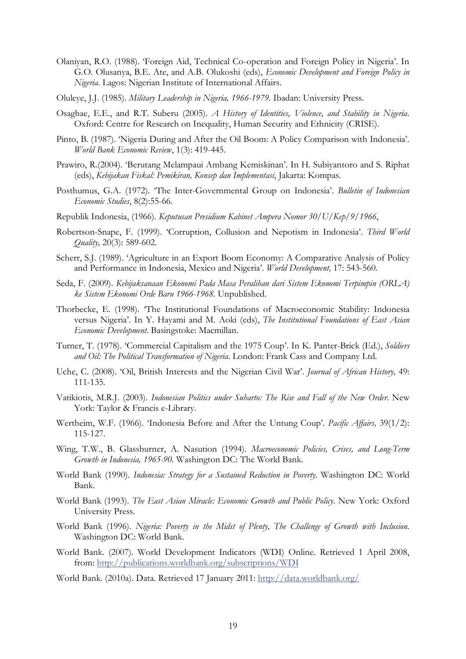- Olaniyan, R.O. (1988). 'Foreign Aid, Technical Co-operation and Foreign Policy in Nigeria'. In G.O. Olusanya, B.E. Ate, and A.B. Olukoshi (eds), *Economic Development and Foreign Policy in Nigeria*. Lagos: Nigerian Institute of International Affairs.
- Oluleye, J.J. (1985). *Military Leadership in Nigeria, 1966-1979*. Ibadan: University Press.
- Osaghae, E.E., and R.T. Suberu (2005). *A History of Identities, Violence, and Stability in Nigeria*. Oxford: Centre for Research on Inequality, Human Security and Ethnicity (CRISE).
- Pinto, B. (1987). 'Nigeria During and After the Oil Boom: A Policy Comparison with Indonesia'. *World Bank Economic Review*, 1(3): 419-445.
- Prawiro, R.(2004). 'Berutang Melampaui Ambang Kemiskinan'. In H. Subiyantoro and S. Riphat (eds), *Kebijakan Fiskal: Pemikiran, Konsep dan Implementasi*, Jakarta: Kompas.
- Posthumus, G.A. (1972). 'The Inter-Governmental Group on Indonesia'. *Bulletin of Indonesian Economic Studies*, 8(2):55-66.
- Republik Indonesia, (1966). *Keputusan Presidium Kabinet Ampera Nomor 30/U/Kep/9/1966*,
- Robertson-Snape, F. (1999). 'Corruption, Collusion and Nepotism in Indonesia'. *Third World Quality,* 20(3): 589-602.
- Scherr, S.J. (1989). 'Agriculture in an Export Boom Economy: A Comparative Analysis of Policy and Performance in Indonesia, Mexico and Nigeria'. *World Development,* 17: 543-560.
- Seda, F. (2009). *Kebijaksanaan Ekonomi Pada Masa Peralihan dari Sistem Ekonomi Terpimpin (ORLA) ke Sistem Ekonomi Orde Baru 1966-1968*. Unpublished.
- Thorbecke, E. (1998). 'The Institutional Foundations of Macroeconomic Stability: Indonesia versus Nigeria'. In Y. Hayami and M. Aoki (eds), *The Institutional Foundations of East Asian Economic Development*. Basingstoke: Macmillan.
- Turner, T. (1978). 'Commercial Capitalism and the 1975 Coup'. In K. Panter-Brick (Ed.), *Soldiers and Oil: The Political Transformation of Nigeria*. London: Frank Cass and Company Ltd.
- Uche, C. (2008). 'Oil, British Interests and the Nigerian Civil War'. *Journal of African History,* 49: 111-135.
- Vatikiotis, M.R.J. (2003). *Indonesian Politics under Suharto: The Rise and Fall of the New Order*. New York: Taylor & Francis e-Library.
- Wertheim, W.F. (1966). 'Indonesia Before and After the Untung Coup'. *Pacific Affairs,* 39(1/2): 115-127.
- Wing, T.W., B. Glassburner, A. Nasution (1994). *Macroeconomic Policies, Crises, and Long-Term Growth in Indonesia, 1965-90*. Washington DC: The World Bank.
- World Bank (1990). *Indonesia: Strategy for a Sustained Reduction in Poverty*. Washington DC: World Bank.
- World Bank (1993). *The East Asian Miracle: Economic Growth and Public Policy*. New York: Oxford University Press.
- World Bank (1996). *Nigeria: Poverty in the Midst of Plenty, The Challenge of Growth with Inclusion*. Washington DC: World Bank.
- World Bank. (2007). World Development Indicators (WDI) Online. Retrieved 1 April 2008, from: http://publications.worldbank.org/subscriptions/WDI
- World Bank. (2010a). Data. Retrieved 17 January 2011: http://data.worldbank.org/